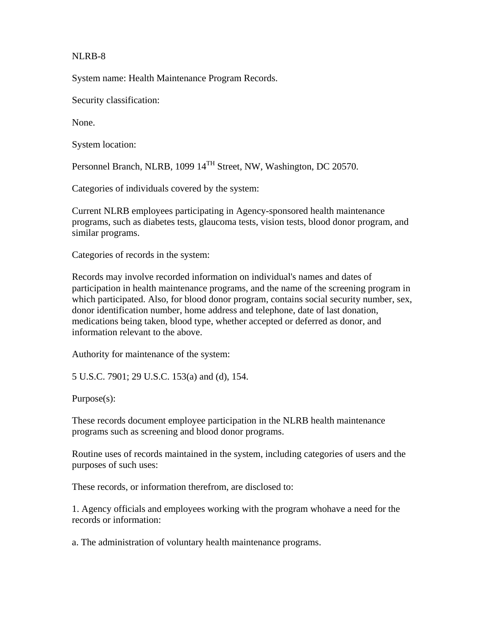## NLRB-8

System name: Health Maintenance Program Records.

Security classification:

None.

System location:

Personnel Branch, NLRB, 1099 14<sup>TH</sup> Street, NW, Washington, DC 20570.

Categories of individuals covered by the system:

Current NLRB employees participating in Agency-sponsored health maintenance programs, such as diabetes tests, glaucoma tests, vision tests, blood donor program, and similar programs.

Categories of records in the system:

Records may involve recorded information on individual's names and dates of participation in health maintenance programs, and the name of the screening program in which participated. Also, for blood donor program, contains social security number, sex, donor identification number, home address and telephone, date of last donation, medications being taken, blood type, whether accepted or deferred as donor, and information relevant to the above.

Authority for maintenance of the system:

5 U.S.C. 7901; 29 U.S.C. 153(a) and (d), 154.

Purpose(s):

These records document employee participation in the NLRB health maintenance programs such as screening and blood donor programs.

Routine uses of records maintained in the system, including categories of users and the purposes of such uses:

These records, or information therefrom, are disclosed to:

1. Agency officials and employees working with the program whohave a need for the records or information:

a. The administration of voluntary health maintenance programs.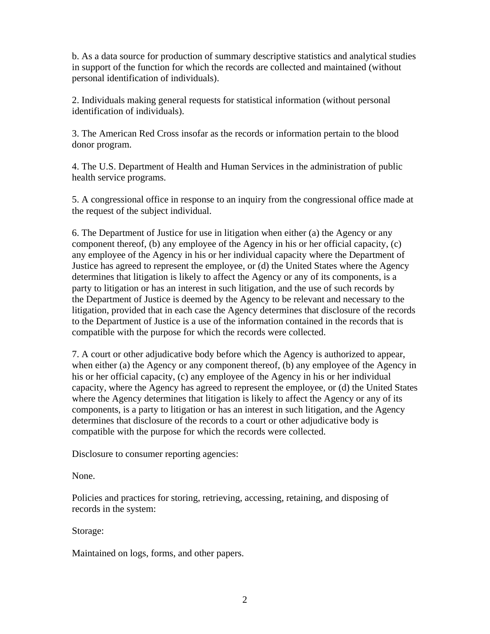b. As a data source for production of summary descriptive statistics and analytical studies in support of the function for which the records are collected and maintained (without personal identification of individuals).

2. Individuals making general requests for statistical information (without personal identification of individuals).

3. The American Red Cross insofar as the records or information pertain to the blood donor program.

4. The U.S. Department of Health and Human Services in the administration of public health service programs.

5. A congressional office in response to an inquiry from the congressional office made at the request of the subject individual.

6. The Department of Justice for use in litigation when either (a) the Agency or any component thereof, (b) any employee of the Agency in his or her official capacity, (c) any employee of the Agency in his or her individual capacity where the Department of Justice has agreed to represent the employee, or (d) the United States where the Agency determines that litigation is likely to affect the Agency or any of its components, is a party to litigation or has an interest in such litigation, and the use of such records by the Department of Justice is deemed by the Agency to be relevant and necessary to the litigation, provided that in each case the Agency determines that disclosure of the records to the Department of Justice is a use of the information contained in the records that is compatible with the purpose for which the records were collected.

7. A court or other adjudicative body before which the Agency is authorized to appear, when either (a) the Agency or any component thereof, (b) any employee of the Agency in his or her official capacity, (c) any employee of the Agency in his or her individual capacity, where the Agency has agreed to represent the employee, or (d) the United States where the Agency determines that litigation is likely to affect the Agency or any of its components, is a party to litigation or has an interest in such litigation, and the Agency determines that disclosure of the records to a court or other adjudicative body is compatible with the purpose for which the records were collected.

Disclosure to consumer reporting agencies:

None.

Policies and practices for storing, retrieving, accessing, retaining, and disposing of records in the system:

Storage:

Maintained on logs, forms, and other papers.